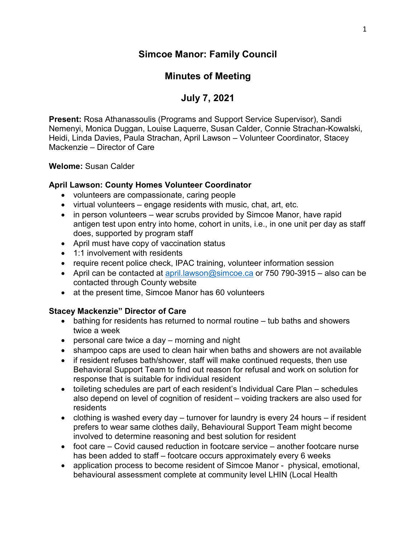# **Simcoe Manor: Family Council**

# **Minutes of Meeting**

# **July 7, 2021**

**Present:** Rosa Athanassoulis (Programs and Support Service Supervisor), Sandi Nemenyi, Monica Duggan, Louise Laquerre, Susan Calder, Connie Strachan-Kowalski, Heidi, Linda Davies, Paula Strachan, April Lawson – Volunteer Coordinator, Stacey Mackenzie – Director of Care

### **Welome:** Susan Calder

### **April Lawson: County Homes Volunteer Coordinator**

- volunteers are compassionate, caring people
- virtual volunteers engage residents with music, chat, art, etc.
- in person volunteers wear scrubs provided by Simcoe Manor, have rapid antigen test upon entry into home, cohort in units, i.e., in one unit per day as staff does, supported by program staff
- April must have copy of vaccination status
- 1:1 involvement with residents
- require recent police check, IPAC training, volunteer information session
- April can be contacted at [april.lawson@simcoe.ca](mailto:april.lawson@simcoe.ca) or 750 790-3915 also can be contacted through County website
- at the present time, Simcoe Manor has 60 volunteers

### **Stacey Mackenzie" Director of Care**

- bathing for residents has returned to normal routine tub baths and showers twice a week
- personal care twice a day morning and night
- shampoo caps are used to clean hair when baths and showers are not available
- if resident refuses bath/shower, staff will make continued requests, then use Behavioral Support Team to find out reason for refusal and work on solution for response that is suitable for individual resident
- toileting schedules are part of each resident's Individual Care Plan schedules also depend on level of cognition of resident – voiding trackers are also used for residents
- clothing is washed every day turnover for laundry is every 24 hours if resident prefers to wear same clothes daily, Behavioural Support Team might become involved to determine reasoning and best solution for resident
- foot care Covid caused reduction in footcare service another footcare nurse has been added to staff – footcare occurs approximately every 6 weeks
- application process to become resident of Simcoe Manor physical, emotional, behavioural assessment complete at community level LHIN (Local Health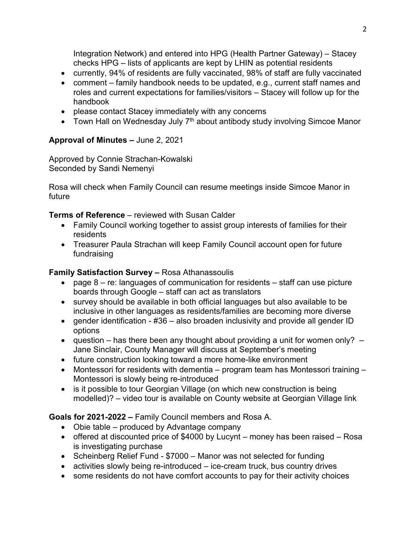Integration Network) and entered into HPG (Health Partner Gateway) – Stacey checks HPG – lists of applicants are kept by LHIN as potential residents

- currently, 94% of residents are fully vaccinated, 98% of staff are fully vaccinated
- comment family handbook needs to be updated, e.g., current staff names and roles and current expectations for families/visitors – Stacey will follow up for the handbook
- please contact Stacey immediately with any concerns
- Town Hall on Wednesday July  $7<sup>th</sup>$  about antibody study involving Simcoe Manor

## **Approval of Minutes –** June 2, 2021

Approved by Connie Strachan-Kowalski Seconded by Sandi Nemenyi

Rosa will check when Family Council can resume meetings inside Simcoe Manor in future

**Terms of Reference** – reviewed with Susan Calder

- Family Council working together to assist group interests of families for their residents
- Treasurer Paula Strachan will keep Family Council account open for future fundraising

## **Family Satisfaction Survey –** Rosa Athanassoulis

- page  $8 re$ : languages of communication for residents  $-$  staff can use picture boards through Google – staff can act as translators
- survey should be available in both official languages but also available to be inclusive in other languages as residents/families are becoming more diverse
- gender identification #36 also broaden inclusivity and provide all gender ID options
- question has there been any thought about providing a unit for women only?  $-$ Jane Sinclair, County Manager will discuss at September's meeting
- future construction looking toward a more home-like environment
- Montessori for residents with dementia program team has Montessori training Montessori is slowly being re-introduced
- is it possible to tour Georgian Village (on which new construction is being modelled)? – video tour is available on County website at Georgian Village link

**Goals for 2021-2022 –** Family Council members and Rosa A.

- Obie table produced by Advantage company
- offered at discounted price of \$4000 by Lucynt money has been raised Rosa is investigating purchase
- Scheinberg Relief Fund \$7000 Manor was not selected for funding
- activities slowly being re-introduced ice-cream truck, bus country drives
- some residents do not have comfort accounts to pay for their activity choices